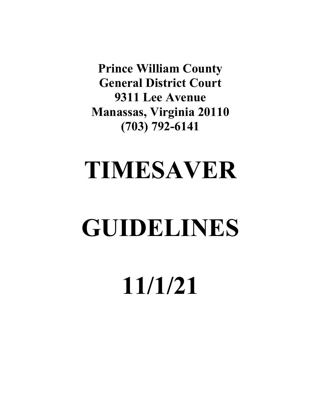**Prince William County General District Court 9311 Lee Avenue Manassas, Virginia 20110 (703) 792-6141**

# **TIMESAVER**

# **GUIDELINES**

**11/1/21**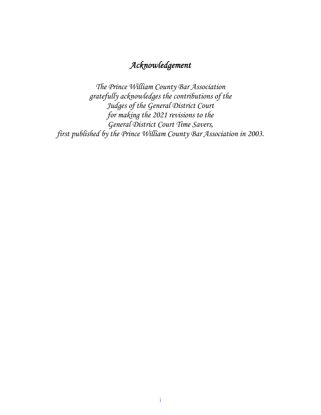# *Acknowledgement*

*The Prince William County Bar Association gratefully acknowledges the contributions of the Judges of the General District Court for making the 2021 revisions to the General District Court Time Savers, first published by the Prince William County Bar Association in 2003.*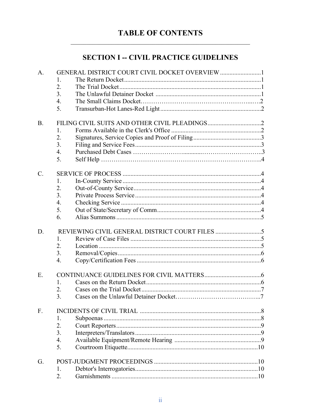# **TABLE OF CONTENTS**

# **SECTION I -- CIVIL PRACTICE GUIDELINES**

| A.              | GENERAL DISTRICT COURT CIVIL DOCKET OVERVIEW 1 |
|-----------------|------------------------------------------------|
|                 | 1.                                             |
|                 | 2.                                             |
|                 | 3.                                             |
|                 | $\overline{4}$ .                               |
|                 | 5.                                             |
|                 |                                                |
| <b>B.</b>       |                                                |
|                 | 1.                                             |
|                 | 2.                                             |
|                 | 3.                                             |
|                 | $\overline{4}$ .                               |
|                 | 5.                                             |
|                 |                                                |
| $\mathcal{C}$ . |                                                |
|                 | 1.                                             |
|                 | 2.                                             |
|                 | 3.                                             |
|                 | $\overline{4}$ .                               |
|                 | 5.                                             |
|                 | 6.                                             |
|                 |                                                |
| D.              |                                                |
|                 | 1.                                             |
|                 | 2.                                             |
|                 | 3.                                             |
|                 | 4.                                             |
|                 |                                                |
| E.              |                                                |
|                 | 1.                                             |
|                 | 2.                                             |
|                 | 3.                                             |
|                 |                                                |
| F.              |                                                |
|                 | 1.                                             |
|                 | 2.                                             |
|                 | 3.                                             |
|                 | 4.                                             |
|                 | 5.                                             |
| G.              |                                                |
|                 | 1.                                             |
|                 | 2.                                             |
|                 |                                                |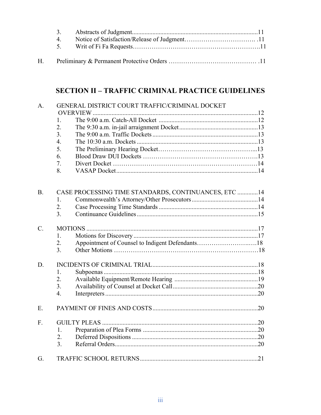| $\overline{4}$ |  |
|----------------|--|
|                |  |

# **SECTION II – TRAFFIC CRIMINAL PRACTICE GUIDELINES**

| A.              | GENERAL DISTRICT COURT TRAFFIC/CRIMINAL DOCKET       |  |  |  |
|-----------------|------------------------------------------------------|--|--|--|
|                 |                                                      |  |  |  |
|                 | 1.<br>2.                                             |  |  |  |
|                 | 3.                                                   |  |  |  |
|                 | 4.                                                   |  |  |  |
|                 | 5.                                                   |  |  |  |
|                 | 6.                                                   |  |  |  |
|                 | 7.                                                   |  |  |  |
|                 | 8.                                                   |  |  |  |
|                 |                                                      |  |  |  |
| <b>B.</b>       | CASE PROCESSING TIME STANDARDS, CONTINUANCES, ETC 14 |  |  |  |
|                 | 1.                                                   |  |  |  |
|                 | 2.                                                   |  |  |  |
|                 | 3.                                                   |  |  |  |
| $\mathcal{C}$ . |                                                      |  |  |  |
|                 | 1.                                                   |  |  |  |
|                 | 2.                                                   |  |  |  |
|                 | 3.                                                   |  |  |  |
| D.              |                                                      |  |  |  |
|                 | 1.                                                   |  |  |  |
|                 | 2.                                                   |  |  |  |
|                 | 3.                                                   |  |  |  |
|                 | 4.                                                   |  |  |  |
| E.              |                                                      |  |  |  |
| F.              |                                                      |  |  |  |
|                 | 1.                                                   |  |  |  |
|                 | 2.                                                   |  |  |  |
|                 | 3.                                                   |  |  |  |
| G.              |                                                      |  |  |  |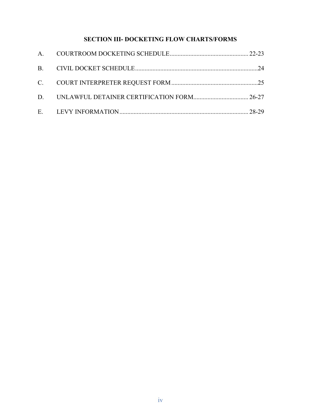# **SECTION III- DOCKETING FLOW CHARTS/FORMS**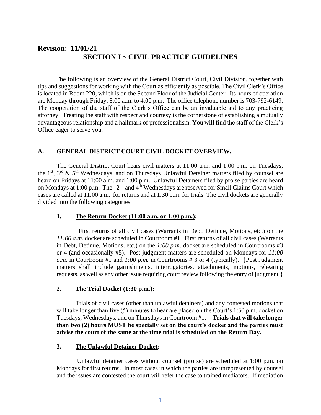# **Revision: 11/01/21 SECTION I ~ CIVIL PRACTICE GUIDELINES**

The following is an overview of the General District Court, Civil Division, together with tips and suggestions for working with the Court as efficiently as possible. The Civil Clerk's Office is located in Room 220, which is on the Second Floor of the Judicial Center. Its hours of operation are Monday through Friday, 8:00 a.m. to 4:00 p.m. The office telephone number is 703-792-6149. The cooperation of the staff of the Clerk's Office can be an invaluable aid to any practicing attorney. Treating the staff with respect and courtesy is the cornerstone of establishing a mutually advantageous relationship and a hallmark of professionalism. You will find the staff of the Clerk's Office eager to serve you.

\_\_\_\_\_\_\_\_\_\_\_\_\_\_\_\_\_\_\_\_\_\_\_\_\_\_\_\_\_\_\_\_\_\_\_\_\_\_\_\_\_\_\_\_\_\_\_\_\_\_\_\_\_\_\_\_\_\_\_\_\_\_\_\_\_\_\_\_\_\_\_

# **A. GENERAL DISTRICT COURT CIVIL DOCKET OVERVIEW.**

The General District Court hears civil matters at 11:00 a.m. and 1:00 p.m. on Tuesdays, the  $1<sup>st</sup>$ ,  $3<sup>rd</sup>$  &  $5<sup>th</sup>$  Wednesdays, and on Thursdays Unlawful Detainer matters filed by counsel are heard on Fridays at 11:00 a.m. and 1:00 p.m. Unlawful Detainers filed by pro se parties are heard on Mondays at 1:00 p.m. The  $2<sup>nd</sup>$  and  $4<sup>th</sup>$  Wednesdays are reserved for Small Claims Court which cases are called at 11:00 a.m. for returns and at 1:30 p.m. for trials. The civil dockets are generally divided into the following categories:

#### **1. The Return Docket (11:00 a.m. or 1:00 p.m.):**

 First returns of all civil cases (Warrants in Debt, Detinue, Motions, etc.) on the *11:00 a.m.* docket are scheduled in Courtroom #1. First returns of all civil cases (Warrants in Debt, Detinue, Motions, etc.) on the *1:00 p.m*. docket are scheduled in Courtrooms #3 or 4 (and occasionally #5). Post-judgment matters are scheduled on Mondays for *11:00 a.m.* in Courtroom #1 and  $1:00 \text{ p.m.}$  in Courtrooms # 3 or 4 (typically). {Post Judgment matters shall include garnishments, interrogatories, attachments, motions, rehearing requests, as well as any other issue requiring court review following the entry of judgment.}

#### **2. The Trial Docket (1:30 p.m.):**

Trials of civil cases (other than unlawful detainers) and any contested motions that will take longer than five (5) minutes to hear are placed on the Court's 1:30 p.m. docket on Tuesdays, Wednesdays, and on Thursdays in Courtroom #1. **Trials that will take longer than two (2) hours MUST be specially set on the court's docket and the parties must advise the court of the same at the time trial is scheduled on the Return Day.**

#### **3. The Unlawful Detainer Docket:**

Unlawful detainer cases without counsel (pro se) are scheduled at 1:00 p.m. on Mondays for first returns. In most cases in which the parties are unrepresented by counsel and the issues are contested the court will refer the case to trained mediators. If mediation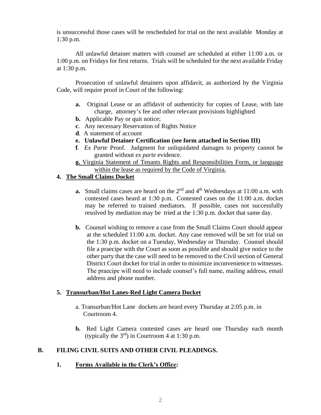is unsuccessful those cases will be rescheduled for trial on the next available Monday at 1:30 p.m.

All unlawful detainer matters with counsel are scheduled at either 11:00 a.m. or 1:00 p.m. on Fridays for first returns. Trials will be scheduled for the next available Friday at 1:30 p.m.

Prosecution of unlawful detainers upon affidavit, as authorized by the Virginia Code, will require proof in Court of the following:

- **a.** Original Lease or an affidavit of authenticity for copies of Lease, with late charge, attorney's fee and other relevant provisions highlighted
- **b.** Applicable Pay or quit notice;
- **c**. Any necessary Reservation of Rights Notice
- **d**. A statement of account
- **e. Unlawful Detainer Certification (see form attached in Section III)**
- **f**. *Ex Parte* Proof. Judgment for unliquidated damages to property cannot be granted without *ex parte* evidence.
- **g.** Virginia Statement of Tenants Rights and Responsibilities Form, or language within the lease as required by the Code of Virginia.

# **4. The Small Claims Docket**

- **a.** Small claims cases are heard on the  $2<sup>nd</sup>$  and  $4<sup>th</sup>$  Wednesdays at 11:00 a.m. with contested cases heard at 1:30 p.m. Contested cases on the 11:00 a.m. docket may be referred to trained mediators. If possible, cases not successfully resolved by mediation may be tried at the 1:30 p.m. docket that same day.
- **b.** Counsel wishing to remove a case from the Small Claims Court should appear at the scheduled 11:00 a.m. docket. Any case removed will be set for trial on the 1:30 p.m. docket on a Tuesday, Wednesday or Thursday. Counsel should file a praecipe with the Court as soon as possible and should give notice to the other party that the case will need to be removed to the Civil section of General District Court docket for trial in order to minimize inconvenience to witnesses. The praecipe will need to include counsel's full name, mailing address, email address and phone number.

# **5. Transurban/Hot Lanes-Red Light Camera Docket**

- a. Transurban/Hot Lane dockets are heard every Thursday at 2:05 p.m. in Courtroom 4.
- **b.** Red Light Camera contested cases are heard one Thursday each month (typically the  $3<sup>rd</sup>$ ) in Courtroom 4 at 1:30 p.m.

# **B. FILING CIVIL SUITS AND OTHER CIVIL PLEADINGS.**

**1. Forms Available in the Clerk's Office:**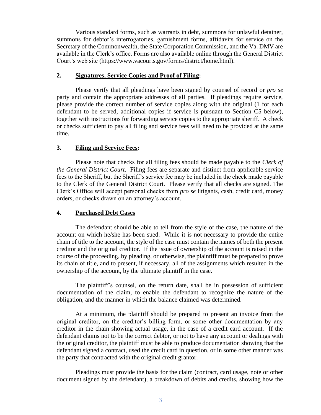Various standard forms, such as warrants in debt, summons for unlawful detainer, summons for debtor's interrogatories, garnishment forms, affidavits for service on the Secretary of the Commonwealth, the State Corporation Commission, and the Va. DMV are available in the Clerk's office. Forms are also available online through the General District Court's web site (https://www.vacourts.gov/forms/district/home.html).

#### **2. Signatures, Service Copies and Proof of Filing:**

Please verify that all pleadings have been signed by counsel of record or *pro se* party and contain the appropriate addresses of all parties. If pleadings require service, please provide the correct number of service copies along with the original (1 for each defendant to be served, additional copies if service is pursuant to Section C5 below), together with instructions for forwarding service copies to the appropriate sheriff. A check or checks sufficient to pay all filing and service fees will need to be provided at the same time.

#### **3. Filing and Service Fees:**

Please note that checks for all filing fees should be made payable to the *Clerk of the General District Court*. Filing fees are separate and distinct from applicable service fees to the Sheriff, but the Sheriff's service fee may be included in the check made payable to the Clerk of the General District Court. Please verify that all checks are signed. The Clerk's Office will accept personal checks from *pro se* litigants, cash, credit card, money orders, or checks drawn on an attorney's account.

#### **4. Purchased Debt Cases**

The defendant should be able to tell from the style of the case, the nature of the account on which he/she has been sued. While it is not necessary to provide the entire chain of title to the account, the style of the case must contain the names of both the present creditor and the original creditor. If the issue of ownership of the account is raised in the course of the proceeding, by pleading, or otherwise, the plaintiff must be prepared to prove its chain of title, and to present, if necessary, all of the assignments which resulted in the ownership of the account, by the ultimate plaintiff in the case.

The plaintiff's counsel, on the return date, shall be in possession of sufficient documentation of the claim, to enable the defendant to recognize the nature of the obligation, and the manner in which the balance claimed was determined.

At a minimum, the plaintiff should be prepared to present an invoice from the original creditor, on the creditor's billing form, or some other documentation by any creditor in the chain showing actual usage, in the case of a credit card account. If the defendant claims not to be the correct debtor, or not to have any account or dealings with the original creditor, the plaintiff must be able to produce documentation showing that the defendant signed a contract, used the credit card in question, or in some other manner was the party that contracted with the original credit grantor.

Pleadings must provide the basis for the claim (contract, card usage, note or other document signed by the defendant), a breakdown of debits and credits, showing how the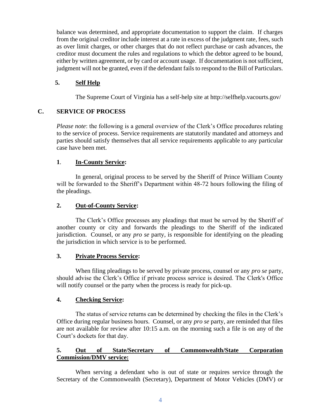balance was determined, and appropriate documentation to support the claim. If charges from the original creditor include interest at a rate in excess of the judgment rate, fees, such as over limit charges, or other charges that do not reflect purchase or cash advances, the creditor must document the rules and regulations to which the debtor agreed to be bound, either by written agreement, or by card or account usage. If documentation is not sufficient, judgment will not be granted, even if the defendant fails to respond to the Bill of Particulars.

# **5. Self Help**

The Supreme Court of Virginia has a self-help site at http://selfhelp.vacourts.gov/

# **C. SERVICE OF PROCESS**

*Please note*: the following is a general overview of the Clerk's Office procedures relating to the service of process. Service requirements are statutorily mandated and attorneys and parties should satisfy themselves that all service requirements applicable to any particular case have been met.

# **1**. **In-County Service:**

In general, original process to be served by the Sheriff of Prince William County will be forwarded to the Sheriff's Department within 48-72 hours following the filing of the pleadings.

## **2. Out-of-County Service:**

The Clerk's Office processes any pleadings that must be served by the Sheriff of another county or city and forwards the pleadings to the Sheriff of the indicated jurisdiction. Counsel, or any *pro se* party, is responsible for identifying on the pleading the jurisdiction in which service is to be performed.

#### **3. Private Process Service:**

When filing pleadings to be served by private process, counsel or any *pro se* party, should advise the Clerk's Office if private process service is desired. The Clerk's Office will notify counsel or the party when the process is ready for pick-up.

#### **4. Checking Service:**

The status of service returns can be determined by checking the files in the Clerk's Office during regular business hours. Counsel, or any *pro se* party, are reminded that files are not available for review after 10:15 a.m. on the morning such a file is on any of the Court's dockets for that day.

# **5. Out of State/Secretary of Commonwealth/State Corporation Commission/DMV service:**

When serving a defendant who is out of state or requires service through the Secretary of the Commonwealth (Secretary), Department of Motor Vehicles (DMV) or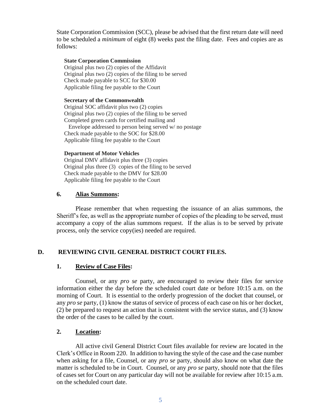State Corporation Commission (SCC), please be advised that the first return date will need to be scheduled a *minimum* of eight (8) weeks past the filing date. Fees and copies are as follows:

#### **State Corporation Commission**

Original plus two (2) copies of the Affidavit Original plus two (2) copies of the filing to be served Check made payable to SCC for \$30.00 Applicable filing fee payable to the Court

#### **Secretary of the Commonwealth**

Original SOC affidavit plus two (2) copies Original plus two (2) copies of the filing to be served Completed green cards for certified mailing and

 Envelope addressed to person being served w/ no postage Check made payable to the SOC for \$28.00 Applicable filing fee payable to the Court

#### **Department of Motor Vehicles**

Original DMV affidavit plus three (3) copies Original plus three (3) copies of the filing to be served Check made payable to the DMV for \$28.00 Applicable filing fee payable to the Court

#### **6. Alias Summons:**

Please remember that when requesting the issuance of an alias summons, the Sheriff's fee, as well as the appropriate number of copies of the pleading to be served, must accompany a copy of the alias summons request. If the alias is to be served by private process, only the service copy(ies) needed are required.

#### **D. REVIEWING CIVIL GENERAL DISTRICT COURT FILES.**

#### **1. Review of Case Files:**

Counsel, or any *pro se* party, are encouraged to review their files for service information either the day before the scheduled court date or before 10:15 a.m. on the morning of Court. It is essential to the orderly progression of the docket that counsel, or any *pro se* party, (1) know the status of service of process of each case on his or her docket, (2) be prepared to request an action that is consistent with the service status, and (3) know the order of the cases to be called by the court.

## **2. Location:**

All active civil General District Court files available for review are located in the Clerk's Office in Room 220. In addition to having the style of the case and the case number when asking for a file, Counsel, or any *pro se* party, should also know on what date the matter is scheduled to be in Court. Counsel, or any *pro se* party, should note that the files of cases set for Court on any particular day will not be available for review after 10:15 a.m. on the scheduled court date.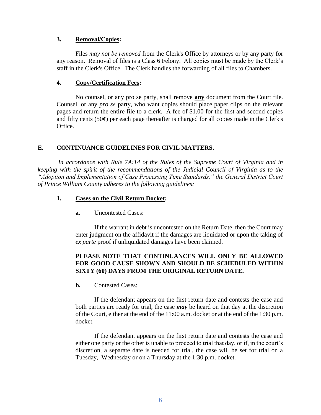# **3. Removal/Copies:**

Files *may not be removed* from the Clerk's Office by attorneys or by any party for any reason. Removal of files is a Class 6 Felony. All copies must be made by the Clerk's staff in the Clerk's Office. The Clerk handles the forwarding of all files to Chambers.

# **4. Copy/Certification Fees:**

No counsel, or any pro se party, shall remove **any** document from the Court file. Counsel, or any *pro se* party, who want copies should place paper clips on the relevant pages and return the entire file to a clerk. A fee of \$1.00 for the first and second copies and fifty cents  $(50¢)$  per each page thereafter is charged for all copies made in the Clerk's Office.

# **E. CONTINUANCE GUIDELINES FOR CIVIL MATTERS.**

*In accordance with Rule 7A:14 of the Rules of the Supreme Court of Virginia and in keeping with the spirit of the recommendations of the Judicial Council of Virginia as to the "Adoption and Implementation of Case Processing Time Standards," the General District Court of Prince William County adheres to the following guidelines:*

# **1. Cases on the Civil Return Docket:**

**a.** Uncontested Cases:

If the warrant in debt is uncontested on the Return Date, then the Court may enter judgment on the affidavit if the damages are liquidated or upon the taking of *ex parte* proof if unliquidated damages have been claimed.

# **PLEASE NOTE THAT CONTINUANCES WILL ONLY BE ALLOWED FOR GOOD CAUSE SHOWN AND SHOULD BE SCHEDULED WITHIN SIXTY (60) DAYS FROM THE ORIGINAL RETURN DATE.**

**b.** Contested Cases:

If the defendant appears on the first return date and contests the case and both parties are ready for trial, the case *may* be heard on that day at the discretion of the Court*,* either at the end of the 11:00 a.m. docket or at the end of the 1:30 p.m. docket.

If the defendant appears on the first return date and contests the case and either one party or the other is unable to proceed to trial that day, or if, in the court's discretion, a separate date is needed for trial, the case will be set for trial on a Tuesday, Wednesday or on a Thursday at the 1:30 p.m. docket.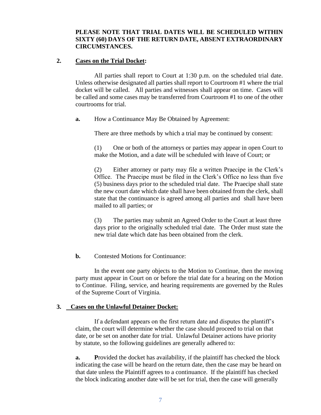# **PLEASE NOTE THAT TRIAL DATES WILL BE SCHEDULED WITHIN SIXTY (60) DAYS OF THE RETURN DATE, ABSENT EXTRAORDINARY CIRCUMSTANCES.**

#### **2. Cases on the Trial Docket:**

All parties shall report to Court at 1:30 p.m. on the scheduled trial date. Unless otherwise designated all parties shall report to Courtroom #1 where the trial docket will be called. All parties and witnesses shall appear on time. Cases will be called and some cases may be transferred from Courtroom #1 to one of the other courtrooms for trial.

**a.** How a Continuance May Be Obtained by Agreement:

There are three methods by which a trial may be continued by consent:

(1) One or both of the attorneys or parties may appear in open Court to make the Motion, and a date will be scheduled with leave of Court; or

(2) Either attorney or party may file a written Praecipe in the Clerk's Office. The Praecipe must be filed in the Clerk's Office no less than five (5) business days prior to the scheduled trial date. The Praecipe shall state the new court date which date shall have been obtained from the clerk, shall state that the continuance is agreed among all parties and shall have been mailed to all parties; or

(3) The parties may submit an Agreed Order to the Court at least three days prior to the originally scheduled trial date. The Order must state the new trial date which date has been obtained from the clerk.

**b.** Contested Motions for Continuance:

In the event one party objects to the Motion to Continue, then the moving party must appear in Court on or before the trial date for a hearing on the Motion to Continue. Filing, service, and hearing requirements are governed by the Rules of the Supreme Court of Virginia.

#### **3. Cases on the Unlawful Detainer Docket:**

If a defendant appears on the first return date and disputes the plantiff's claim, the court will determine whether the case should proceed to trial on that date, or be set on another date for trial. Unlawful Detainer actions have priority by statute, so the following guidelines are generally adhered to:

**a.** Provided the docket has availability, if the plaintiff has checked the block indicating the case will be heard on the return date, then the case may be heard on that date unless the Plaintiff agrees to a continuance. If the plaintiff has checked the block indicating another date will be set for trial, then the case will generally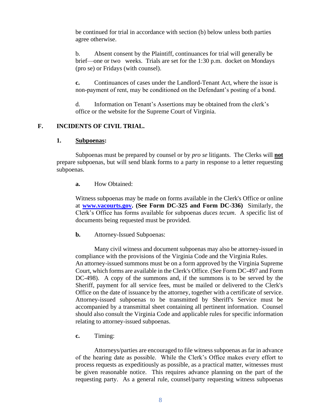be continued for trial in accordance with section (b) below unless both parties agree otherwise.

b. Absent consent by the Plaintiff, continuances for trial will generally be brief—one or two weeks. Trials are set for the 1:30 p.m. docket on Mondays (pro se) or Fridays (with counsel).

**c.** Continuances of cases under the Landlord-Tenant Act, where the issue is non-payment of rent, may be conditioned on the Defendant's posting of a bond.

d. Information on Tenant's Assertions may be obtained from the clerk's office or the website for the Supreme Court of Virginia.

# **F. INCIDENTS OF CIVIL TRIAL.**

#### **1. Subpoenas:**

Subpoenas must be prepared by counsel or by *pro se* litigants. The Clerks will **not** prepare subpoenas, but will send blank forms to a party in response to a letter requesting subpoenas.

#### **a.** How Obtained:

Witness subpoenas may be made on forms available in the Clerk's Office or online at **[www.vacourts.gov.](http://www.vacourts.gov/) (See Form DC-325 and Form DC-336)** Similarly, the Clerk's Office has forms available for subpoenas *duces tecum*. A specific list of documents being requested must be provided.

#### **b.** Attorney-Issued Subpoenas:

Many civil witness and document subpoenas may also be attorney-issued in compliance with the provisions of the Virginia Code and the Virginia Rules. An attorney-issued summons must be on a form approved by the Virginia Supreme Court, which forms are available in the Clerk's Office. (See Form DC-497 and Form DC-498). A copy of the summons and, if the summons is to be served by the Sheriff, payment for all service fees, must be mailed or delivered to the Clerk's Office on the date of issuance by the attorney, together with a certificate of service. Attorney-issued subpoenas to be transmitted by Sheriff's Service must be accompanied by a transmittal sheet containing all pertinent information. Counsel should also consult the Virginia Code and applicable rules for specific information relating to attorney-issued subpoenas.

#### **c.** Timing:

Attorneys/parties are encouraged to file witness subpoenas as far in advance of the hearing date as possible. While the Clerk's Office makes every effort to process requests as expeditiously as possible, as a practical matter, witnesses must be given reasonable notice. This requires advance planning on the part of the requesting party. As a general rule, counsel/party requesting witness subpoenas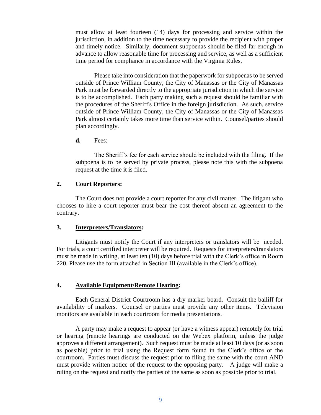must allow at least fourteen (14) days for processing and service within the jurisdiction, in addition to the time necessary to provide the recipient with proper and timely notice. Similarly, document subpoenas should be filed far enough in advance to allow reasonable time for processing and service, as well as a sufficient time period for compliance in accordance with the Virginia Rules.

Please take into consideration that the paperwork for subpoenas to be served outside of Prince William County, the City of Manassas or the City of Manassas Park must be forwarded directly to the appropriate jurisdiction in which the service is to be accomplished. Each party making such a request should be familiar with the procedures of the Sheriff's Office in the foreign jurisdiction. As such, service outside of Prince William County, the City of Manassas or the City of Manassas Park almost certainly takes more time than service within. Counsel/parties should plan accordingly.

**d.** Fees:

The Sheriff's fee for each service should be included with the filing. If the subpoena is to be served by private process, please note this with the subpoena request at the time it is filed.

#### **2. Court Reporters:**

The Court does not provide a court reporter for any civil matter. The litigant who chooses to hire a court reporter must bear the cost thereof absent an agreement to the contrary.

#### **3. Interpreters/Translators:**

Litigants must notify the Court if any interpreters or translators will be needed. For trials, a court certified interpreter will be required. Requests for interpreters/translators must be made in writing, at least ten (10) days before trial with the Clerk's office in Room 220. Please use the form attached in Section III (available in the Clerk's office).

#### **4. Available Equipment/Remote Hearing:**

Each General District Courtroom has a dry marker board. Consult the bailiff for availability of markers. Counsel or parties must provide any other items. Television monitors are available in each courtroom for media presentations.

A party may make a request to appear (or have a witness appear) remotely for trial or hearing (remote hearings are conducted on the Webex platform, unless the judge approves a different arrangement). Such request must be made at least 10 days (or as soon as possible) prior to trial using the Request form found in the Clerk's office or the courtroom. Parties must discuss the request prior to filing the same with the court AND must provide written notice of the request to the opposing party. A judge will make a ruling on the request and notify the parties of the same as soon as possible prior to trial.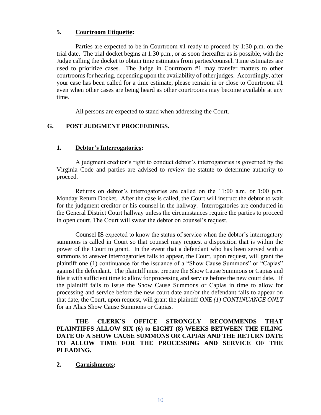# **5. Courtroom Etiquette:**

Parties are expected to be in Courtroom #1 ready to proceed by 1:30 p.m. on the trial date. The trial docket begins at 1:30 p.m., or as soon thereafter as is possible, with the Judge calling the docket to obtain time estimates from parties/counsel. Time estimates are used to prioritize cases. The Judge in Courtroom #1 may transfer matters to other courtrooms for hearing, depending upon the availability of other judges. Accordingly, after your case has been called for a time estimate, please remain in or close to Courtroom #1 even when other cases are being heard as other courtrooms may become available at any time.

All persons are expected to stand when addressing the Court.

# **G. POST JUDGMENT PROCEEDINGS.**

#### **1. Debtor's Interrogatories:**

A judgment creditor's right to conduct debtor's interrogatories is governed by the Virginia Code and parties are advised to review the statute to determine authority to proceed.

Returns on debtor's interrogatories are called on the 11:00 a.m. or 1:00 p.m. Monday Return Docket. After the case is called, the Court will instruct the debtor to wait for the judgment creditor or his counsel in the hallway. Interrogatories are conducted in the General District Court hallway unless the circumstances require the parties to proceed in open court. The Court will swear the debtor on counsel's request.

Counsel **IS** expected to know the status of service when the debtor's interrogatory summons is called in Court so that counsel may request a disposition that is within the power of the Court to grant. In the event that a defendant who has been served with a summons to answer interrogatories fails to appear, the Court, upon request, will grant the plaintiff one (1) continuance for the issuance of a "Show Cause Summons" or "Capias" against the defendant. The plaintiff must prepare the Show Cause Summons or Capias and file it with sufficient time to allow for processing and service before the new court date. If the plaintiff fails to issue the Show Cause Summons or Capias in time to allow for processing and service before the new court date and/or the defendant fails to appear on that date, the Court, upon request, will grant the plaintiff *ONE (1) CONTINUANCE ONLY* for an Alias Show Cause Summons or Capias.

**THE CLERK'S OFFICE STRONGLY RECOMMENDS THAT PLAINTIFFS ALLOW SIX (6) to EIGHT (8) WEEKS BETWEEN THE FILING DATE OF A SHOW CAUSE SUMMONS OR CAPIAS AND THE RETURN DATE TO ALLOW TIME FOR THE PROCESSING AND SERVICE OF THE PLEADING.**

#### **2. Garnishments:**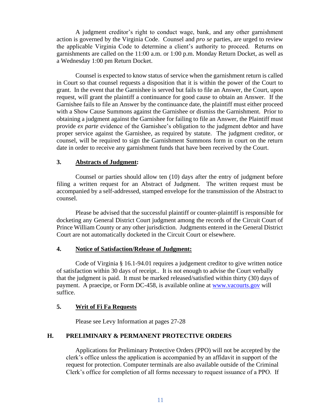A judgment creditor's right to conduct wage, bank, and any other garnishment action is governed by the Virginia Code. Counsel and *pro se* parties, are urged to review the applicable Virginia Code to determine a client's authority to proceed. Returns on garnishments are called on the 11:00 a.m. or 1:00 p.m. Monday Return Docket, as well as a Wednesday 1:00 pm Return Docket.

Counsel is expected to know status of service when the garnishment return is called in Court so that counsel requests a disposition that it is within the power of the Court to grant. In the event that the Garnishee is served but fails to file an Answer, the Court, upon request, will grant the plaintiff a continuance for good cause to obtain an Answer. If the Garnishee fails to file an Answer by the continuance date, the plaintiff must either proceed with a Show Cause Summons against the Garnishee or dismiss the Garnishment. Prior to obtaining a judgment against the Garnishee for failing to file an Answer, the Plaintiff must provide *ex parte* evidence of the Garnishee's obligation to the judgment debtor and have proper service against the Garnishee, as required by statute. The judgment creditor, or counsel, will be required to sign the Garnishment Summons form in court on the return date in order to receive any garnishment funds that have been received by the Court.

#### **3. Abstracts of Judgment:**

Counsel or parties should allow ten (10) days after the entry of judgment before filing a written request for an Abstract of Judgment. The written request must be accompanied by a self-addressed, stamped envelope for the transmission of the Abstract to counsel.

Please be advised that the successful plaintiff or counter-plaintiff is responsible for docketing any General District Court judgment among the records of the Circuit Court of Prince William County or any other jurisdiction. Judgments entered in the General District Court are not automatically docketed in the Circuit Court or elsewhere.

# **4. Notice of Satisfaction/Release of Judgment:**

Code of Virginia § 16.1-94.01 requires a judgement creditor to give written notice of satisfaction within 30 days of receipt.. It is not enough to advise the Court verbally that the judgment is paid. It must be marked released/satisfied within thirty (30) days of payment. A praecipe, or Form DC-458, is available online at [www.vacourts.gov](http://www.vacourts.gov/) will suffice.

# **5. Writ of Fi Fa Requests**

Please see Levy Information at pages 27-28

### **H. PRELIMINARY & PERMANENT PROTECTIVE ORDERS**

Applications for Preliminary Protective Orders (PPO) will not be accepted by the clerk's office unless the application is accompanied by an affidavit in support of the request for protection. Computer terminals are also available outside of the Criminal Clerk's office for completion of all forms necessary to request issuance of a PPO. If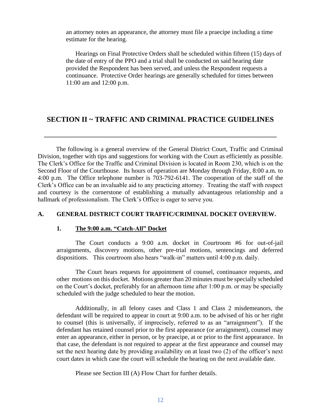an attorney notes an appearance, the attorney must file a praecipe including a time estimate for the hearing.

Hearings on Final Protective Orders shall be scheduled within fifteen (15) days of the date of entry of the PPO and a trial shall be conducted on said hearing date provided the Respondent has been served, and unless the Respondent requests a continuance. Protective Order hearings are generally scheduled for times between 11:00 am and 12:00 p.m.

# **SECTION II ~ TRAFFIC AND CRIMINAL PRACTICE GUIDELINES**

**\_\_\_\_\_\_\_\_\_\_\_\_\_\_\_\_\_\_\_\_\_\_\_\_\_\_\_\_\_\_\_\_\_\_\_\_\_\_\_\_\_\_\_\_\_\_\_\_\_\_\_\_\_\_\_\_\_\_\_\_\_\_\_\_\_\_\_\_\_\_\_\_\_\_**

The following is a general overview of the General District Court, Traffic and Criminal Division, together with tips and suggestions for working with the Court as efficiently as possible. The Clerk's Office for the Traffic and Criminal Division is located in Room 230, which is on the Second Floor of the Courthouse. Its hours of operation are Monday through Friday, 8:00 a.m. to 4:00 p.m. The Office telephone number is 703-792-6141. The cooperation of the staff of the Clerk's Office can be an invaluable aid to any practicing attorney. Treating the staff with respect and courtesy is the cornerstone of establishing a mutually advantageous relationship and a hallmark of professionalism. The Clerk's Office is eager to serve you.

#### **A. GENERAL DISTRICT COURT TRAFFIC/CRIMINAL DOCKET OVERVIEW.**

#### **1. The 9:00 a.m. "Catch-All" Docket**

The Court conducts a 9:00 a.m. docket in Courtroom #6 for out-of-jail arraignments, discovery motions, other pre-trial motions, sentencings and deferred dispositions. This courtroom also hears "walk-in" matters until 4:00 p.m. daily.

The Court hears requests for appointment of counsel, continuance requests, and other motions on this docket. Motions greater than 20 minutes must be specially scheduled on the Court's docket, preferably for an afternoon time after 1:00 p.m. or may be specially scheduled with the judge scheduled to hear the motion.

Additionally, in all felony cases and Class 1 and Class 2 misdemeanors, the defendant will be required to appear in court at 9:00 a.m. to be advised of his or her right to counsel (this is universally, if imprecisely, referred to as an "arraignment"). If the defendant has retained counsel prior to the first appearance (or arraignment), counsel may enter an appearance, either in person, or by praecipe, at or prior to the first appearance. In that case, the defendant is not required to appear at the first appearance and counsel may set the next hearing date by providing availability on at least two (2) of the officer's next court dates in which case the court will schedule the hearing on the next available date.

Please see Section III (A) Flow Chart for further details.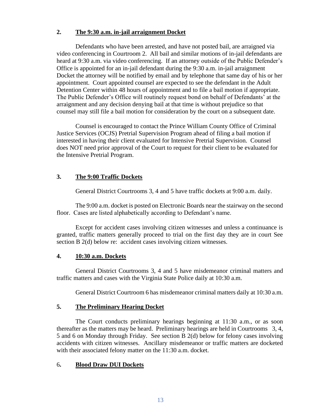## **2. The 9:30 a.m. in-jail arraignment Docket**

Defendants who have been arrested, and have not posted bail, are arraigned via video conferencing in Courtroom 2. All bail and similar motions of in-jail defendants are heard at 9:30 a.m. via video conferencing. If an attorney outside of the Public Defender's Office is appointed for an in-jail defendant during the 9:30 a.m. in-jail arraignment Docket the attorney will be notified by email and by telephone that same day of his or her appointment. Court appointed counsel are expected to see the defendant in the Adult Detention Center within 48 hours of appointment and to file a bail motion if appropriate. The Public Defender's Office will routinely request bond on behalf of Defendants' at the arraignment and any decision denying bail at that time is without prejudice so that counsel may still file a bail motion for consideration by the court on a subsequent date.

Counsel is encouraged to contact the Prince William County Office of Criminal Justice Services (OCJS) Pretrial Supervision Program ahead of filing a bail motion if interested in having their client evaluated for Intensive Pretrial Supervision. Counsel does NOT need prior approval of the Court to request for their client to be evaluated for the Intensive Pretrial Program.

# **3. The 9:00 Traffic Dockets**

General District Courtrooms 3, 4 and 5 have traffic dockets at 9:00 a.m. daily.

The 9:00 a.m. docket is posted on Electronic Boards near the stairway on the second floor. Cases are listed alphabetically according to Defendant's name.

Except for accident cases involving citizen witnesses and unless a continuance is granted, traffic matters generally proceed to trial on the first day they are in court See section B 2(d) below re: accident cases involving citizen witnesses.

# **4. 10:30 a.m. Dockets**

General District Courtrooms 3, 4 and 5 have misdemeanor criminal matters and traffic matters and cases with the Virginia State Police daily at 10:30 a.m.

General District Courtroom 6 has misdemeanor criminal matters daily at 10:30 a.m.

# **5. The Preliminary Hearing Docket**

The Court conducts preliminary hearings beginning at 11:30 a.m., or as soon thereafter as the matters may be heard. Preliminary hearings are held in Courtrooms 3, 4, 5 and 6 on Monday through Friday. See section B 2(d) below for felony cases involving accidents with citizen witnesses. Ancillary misdemeanor or traffic matters are docketed with their associated felony matter on the 11:30 a.m. docket.

# 6**. Blood Draw DUI Dockets**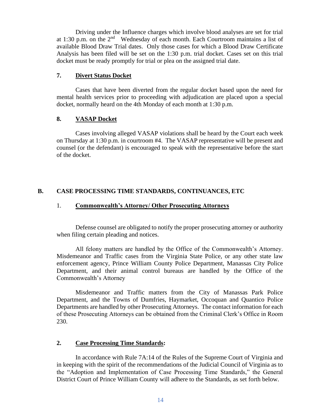Driving under the Influence charges which involve blood analyses are set for trial at 1:30 p.m. on the  $2<sup>nd</sup>$  Wednesday of each month. Each Courtroom maintains a list of available Blood Draw Trial dates. Only those cases for which a Blood Draw Certificate Analysis has been filed will be set on the 1:30 p.m. trial docket. Cases set on this trial docket must be ready promptly for trial or plea on the assigned trial date.

# **7. Divert Status Docket**

Cases that have been diverted from the regular docket based upon the need for mental health services prior to proceeding with adjudication are placed upon a special docket, normally heard on the 4th Monday of each month at 1:30 p.m.

# **8. VASAP Docket**

Cases involving alleged VASAP violations shall be heard by the Court each week on Thursday at 1:30 p.m. in courtroom #4. The VASAP representative will be present and counsel (or the defendant) is encouraged to speak with the representative before the start of the docket.

# **B. CASE PROCESSING TIME STANDARDS, CONTINUANCES, ETC**

# 1. **Commonwealth's Attorney/ Other Prosecuting Attorneys**

Defense counsel are obligated to notify the proper prosecuting attorney or authority when filing certain pleading and notices.

All felony matters are handled by the Office of the Commonwealth's Attorney. Misdemeanor and Traffic cases from the Virginia State Police, or any other state law enforcement agency, Prince William County Police Department, Manassas City Police Department, and their animal control bureaus are handled by the Office of the Commonwealth's Attorney

Misdemeanor and Traffic matters from the City of Manassas Park Police Department, and the Towns of Dumfries, Haymarket, Occoquan and Quantico Police Departments are handled by other Prosecuting Attorneys. The contact information for each of these Prosecuting Attorneys can be obtained from the Criminal Clerk's Office in Room 230.

# **2. Case Processing Time Standards:**

In accordance with Rule 7A:14 of the Rules of the Supreme Court of Virginia and in keeping with the spirit of the recommendations of the Judicial Council of Virginia as to the "Adoption and Implementation of Case Processing Time Standards," the General District Court of Prince William County will adhere to the Standards, as set forth below.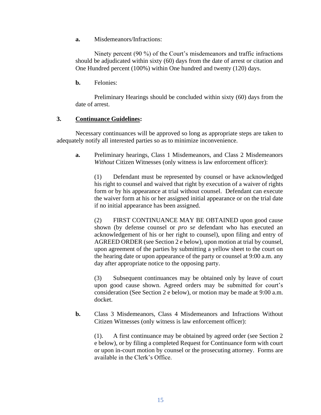**a.** Misdemeanors/Infractions:

Ninety percent (90 %) of the Court's misdemeanors and traffic infractions should be adjudicated within sixty (60) days from the date of arrest or citation and One Hundred percent (100%) within One hundred and twenty (120) days.

**b.** Felonies:

Preliminary Hearings should be concluded within sixty (60) days from the date of arrest.

#### **3. Continuance Guidelines:**

Necessary continuances will be approved so long as appropriate steps are taken to adequately notify all interested parties so as to minimize inconvenience.

**a.** Preliminary hearings, Class 1 Misdemeanors, and Class 2 Misdemeanors *Without* Citizen Witnesses (only witness is law enforcement officer):

(1) Defendant must be represented by counsel or have acknowledged his right to counsel and waived that right by execution of a waiver of rights form or by his appearance at trial without counsel. Defendant can execute the waiver form at his or her assigned initial appearance or on the trial date if no initial appearance has been assigned.

(2) FIRST CONTINUANCE MAY BE OBTAINED upon good cause shown (by defense counsel or *pro se* defendant who has executed an acknowledgement of his or her right to counsel), upon filing and entry of AGREED ORDER (see Section 2 e below), upon motion at trial by counsel, upon agreement of the parties by submitting a yellow sheet to the court on the hearing date or upon appearance of the party or counsel at 9:00 a.m. any day after appropriate notice to the opposing party.

(3) Subsequent continuances may be obtained only by leave of court upon good cause shown. Agreed orders may be submitted for court's consideration (See Section 2 e below), or motion may be made at 9:00 a.m. docket.

**b.** Class 3 Misdemeanors, Class 4 Misdemeanors and Infractions Without Citizen Witnesses (only witness is law enforcement officer):

(1). A first continuance may be obtained by agreed order (see Section 2 e below), or by filing a completed Request for Continuance form with court or upon in-court motion by counsel or the prosecuting attorney. Forms are available in the Clerk's Office.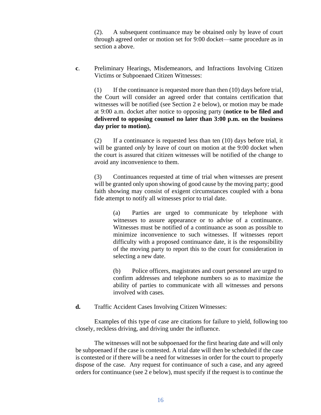(2). A subsequent continuance may be obtained only by leave of court through agreed order or motion set for 9:00 docket—same procedure as in section a above.

**c**. Preliminary Hearings, Misdemeanors, and Infractions Involving Citizen Victims or Subpoenaed Citizen Witnesses:

(1) If the continuance is requested more than then (10) days before trial, the Court will consider an agreed order that contains certification that witnesses will be notified (see Section 2 e below), or motion may be made at 9:00 a.m. docket after notice to opposing party (**notice to be filed and delivered to opposing counsel no later than 3:00 p.m. on the business day prior to motion).**

(2) If a continuance is requested less than ten (10) days before trial, it will be granted *only* by leave of court on motion at the 9:00 docket when the court is assured that citizen witnesses will be notified of the change to avoid any inconvenience to them.

(3) Continuances requested at time of trial when witnesses are present will be granted only upon showing of good cause by the moving party; good faith showing may consist of exigent circumstances coupled with a bona fide attempt to notify all witnesses prior to trial date.

(a) Parties are urged to communicate by telephone with witnesses to assure appearance or to advise of a continuance. Witnesses must be notified of a continuance as soon as possible to minimize inconvenience to such witnesses. If witnesses report difficulty with a proposed continuance date, it is the responsibility of the moving party to report this to the court for consideration in selecting a new date.

(b) Police officers, magistrates and court personnel are urged to confirm addresses and telephone numbers so as to maximize the ability of parties to communicate with all witnesses and persons involved with cases.

**d.** Traffic Accident Cases Involving Citizen Witnesses:

Examples of this type of case are citations for failure to yield, following too closely, reckless driving, and driving under the influence.

The witnesses will not be subpoenaed for the first hearing date and will only be subpoenaed if the case is contested. A trial date will then be scheduled if the case is contested or if there will be a need for witnesses in order for the court to properly dispose of the case. Any request for continuance of such a case, and any agreed orders for continuance (see 2 e below), must specify if the request is to continue the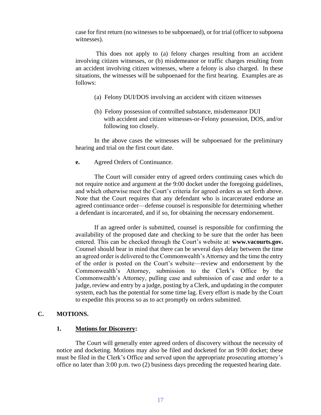case for first return (no witnesses to be subpoenaed), or for trial (officer to subpoena witnesses).

This does not apply to (a) felony charges resulting from an accident involving citizen witnesses, or (b) misdemeanor or traffic charges resulting from an accident involving citizen witnesses, where a felony is also charged. In these situations, the witnesses will be subpoenaed for the first hearing. Examples are as follows:

- (a) Felony DUI/DOS involving an accident with citizen witnesses
- (b) Felony possession of controlled substance, misdemeanor DUI with accident and citizen witnesses-or-Felony possession, DOS, and/or following too closely.

In the above cases the witnesses will be subpoenaed for the preliminary hearing and trial on the first court date.

**e.** Agreed Orders of Continuance.

The Court will consider entry of agreed orders continuing cases which do not require notice and argument at the 9:00 docket under the foregoing guidelines, and which otherwise meet the Court's criteria for agreed orders as set forth above. Note that the Court requires that any defendant who is incarcerated endorse an agreed continuance order—defense counsel is responsible for determining whether a defendant is incarcerated, and if so, for obtaining the necessary endorsement.

If an agreed order is submitted, counsel is responsible for confirming the availability of the proposed date and checking to be sure that the order has been entered. This can be checked through the Court's website at: **www.vacourts.gov.** Counsel should bear in mind that there can be several days delay between the time an agreed order is delivered to the Commonwealth's Attorney and the time the entry of the order is posted on the Court's website—review and endorsement by the Commonwealth's Attorney, submission to the Clerk's Office by the Commonwealth's Attorney, pulling case and submission of case and order to a judge, review and entry by a judge, posting by a Clerk, and updating in the computer system, each has the potential for some time lag. Every effort is made by the Court to expedite this process so as to act promptly on orders submitted.

#### **C. MOTIONS.**

#### **1. Motions for Discovery:**

The Court will generally enter agreed orders of discovery without the necessity of notice and docketing. Motions may also be filed and docketed for an 9:00 docket; these must be filed in the Clerk's Office and served upon the appropriate prosecuting attorney's office no later than 3:00 p.m. two (2) business days preceding the requested hearing date.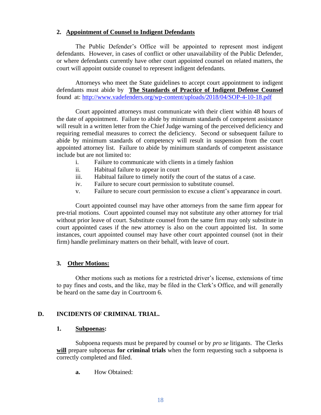#### **2. Appointment of Counsel to Indigent Defendants**

The Public Defender's Office will be appointed to represent most indigent defendants. However, in cases of conflict or other unavailability of the Public Defender, or where defendants currently have other court appointed counsel on related matters, the court will appoint outside counsel to represent indigent defendants.

Attorneys who meet the State guidelines to accept court appointment to indigent defendants must abide by **The Standards of Practice of Indigent Defense Counsel** found at:<http://www.vadefenders.org/wp-content/uploads/2018/04/SOP-4-10-18.pdf>

Court appointed attorneys must communicate with their client within 48 hours of the date of appointment. Failure to abide by minimum standards of competent assistance will result in a written letter from the Chief Judge warning of the perceived deficiency and requiring remedial measures to correct the deficiency. Second or subsequent failure to abide by minimum standards of competency will result in suspension from the court appointed attorney list. Failure to abide by minimum standards of competent assistance include but are not limited to:

- i. Failure to communicate with clients in a timely fashion
- ii. Habitual failure to appear in court
- iii. Habitual failure to timely notify the court of the status of a case.
- iv. Failure to secure court permission to substitute counsel.
- v. Failure to secure court permission to excuse a client's appearance in court.

Court appointed counsel may have other attorneys from the same firm appear for pre-trial motions. Court appointed counsel may not substitute any other attorney for trial without prior leave of court. Substitute counsel from the same firm may only substitute in court appointed cases if the new attorney is also on the court appointed list. In some instances, court appointed counsel may have other court appointed counsel (not in their firm) handle preliminary matters on their behalf, with leave of court.

# **3. Other Motions:**

Other motions such as motions for a restricted driver's license, extensions of time to pay fines and costs, and the like, may be filed in the Clerk's Office, and will generally be heard on the same day in Courtroom 6.

# **D. INCIDENTS OF CRIMINAL TRIAL.**

#### **1. Subpoenas:**

Subpoena requests must be prepared by counsel or by *pro se* litigants. The Clerks **will** prepare subpoenas **for criminal trials** when the form requesting such a subpoena is correctly completed and filed.

**a.** How Obtained: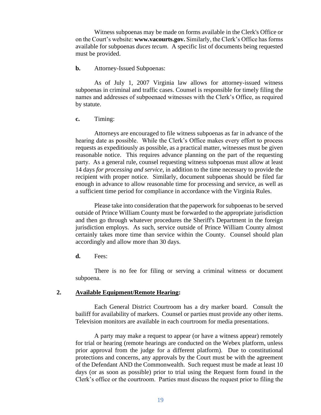Witness subpoenas may be made on forms available in the Clerk's Office or on the Court's website: **www.vacourts.gov.** Similarly, the Clerk's Office has forms available for subpoenas *duces tecum*. A specific list of documents being requested must be provided.

#### **b.** Attorney-Issued Subpoenas:

As of July 1, 2007 Virginia law allows for attorney-issued witness subpoenas in criminal and traffic cases. Counsel is responsible for timely filing the names and addresses of subpoenaed witnesses with the Clerk's Office, as required by statute.

#### **c.** Timing:

Attorneys are encouraged to file witness subpoenas as far in advance of the hearing date as possible. While the Clerk's Office makes every effort to process requests as expeditiously as possible, as a practical matter, witnesses must be given reasonable notice. This requires advance planning on the part of the requesting party. As a general rule, counsel requesting witness subpoenas must allow at least 14 days *for processing and service*, in addition to the time necessary to provide the recipient with proper notice. Similarly, document subpoenas should be filed far enough in advance to allow reasonable time for processing and service, as well as a sufficient time period for compliance in accordance with the Virginia Rules.

Please take into consideration that the paperwork for subpoenas to be served outside of Prince William County must be forwarded to the appropriate jurisdiction and then go through whatever procedures the Sheriff's Department in the foreign jurisdiction employs. As such, service outside of Prince William County almost certainly takes more time than service within the County. Counsel should plan accordingly and allow more than 30 days.

**d.** Fees:

There is no fee for filing or serving a criminal witness or document subpoena.

#### **2. Available Equipment/Remote Hearing:**

Each General District Courtroom has a dry marker board. Consult the bailiff for availability of markers. Counsel or parties must provide any other items. Television monitors are available in each courtroom for media presentations.

A party may make a request to appear (or have a witness appear) remotely for trial or hearing (remote hearings are conducted on the Webex platform, unless prior approval from the judge for a different platform). Due to constitutional protections and concerns, any approvals by the Court must be with the agreement of the Defendant AND the Commonwealth. Such request must be made at least 10 days (or as soon as possible) prior to trial using the Request form found in the Clerk's office or the courtroom. Parties must discuss the request prior to filing the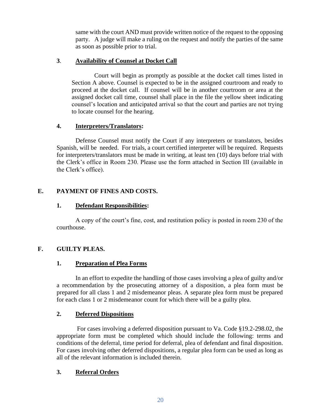same with the court AND must provide written notice of the request to the opposing party. A judge will make a ruling on the request and notify the parties of the same as soon as possible prior to trial.

# **3**. **Availability of Counsel at Docket Call**

Court will begin as promptly as possible at the docket call times listed in Section A above. Counsel is expected to be in the assigned courtroom and ready to proceed at the docket call. If counsel will be in another courtroom or area at the assigned docket call time, counsel shall place in the file the yellow sheet indicating counsel's location and anticipated arrival so that the court and parties are not trying to locate counsel for the hearing.

# **4. Interpreters/Translators:**

Defense Counsel must notify the Court if any interpreters or translators, besides Spanish, will be needed. For trials, a court certified interpreter will be required. Requests for interpreters/translators must be made in writing, at least ten (10) days before trial with the Clerk's office in Room 230. Please use the form attached in Section III (available in the Clerk's office).

# **E. PAYMENT OF FINES AND COSTS.**

# **1. Defendant Responsibilities:**

A copy of the court's fine, cost, and restitution policy is posted in room 230 of the courthouse.

# **F. GUILTY PLEAS.**

# **1. Preparation of Plea Forms**

In an effort to expedite the handling of those cases involving a plea of guilty and/or a recommendation by the prosecuting attorney of a disposition, a plea form must be prepared for all class 1 and 2 misdemeanor pleas. A separate plea form must be prepared for each class 1 or 2 misdemeanor count for which there will be a guilty plea.

# **2. Deferred Dispositions**

For cases involving a deferred disposition pursuant to Va. Code §19.2-298.02, the appropriate form must be completed which should include the following: terms and conditions of the deferral, time period for deferral, plea of defendant and final disposition. For cases involving other deferred dispositions, a regular plea form can be used as long as all of the relevant information is included therein.

# **3. Referral Orders**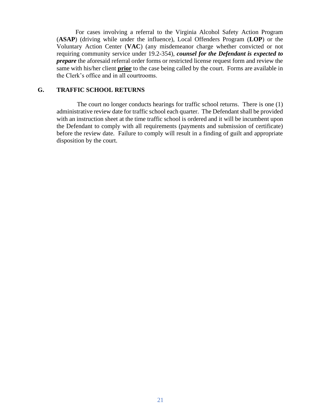For cases involving a referral to the Virginia Alcohol Safety Action Program (**ASAP**) (driving while under the influence), Local Offenders Program (**LOP**) or the Voluntary Action Center (**VAC**) (any misdemeanor charge whether convicted or not requiring community service under 19.2-354), *counsel for the Defendant is expected to prepare* the aforesaid referral order forms or restricted license request form and review the same with his/her client **prior** to the case being called by the court. Forms are available in the Clerk's office and in all courtrooms.

#### **G. TRAFFIC SCHOOL RETURNS**

The court no longer conducts hearings for traffic school returns. There is one (1) administrative review date for traffic school each quarter. The Defendant shall be provided with an instruction sheet at the time traffic school is ordered and it will be incumbent upon the Defendant to comply with all requirements (payments and submission of certificate) before the review date. Failure to comply will result in a finding of guilt and appropriate disposition by the court.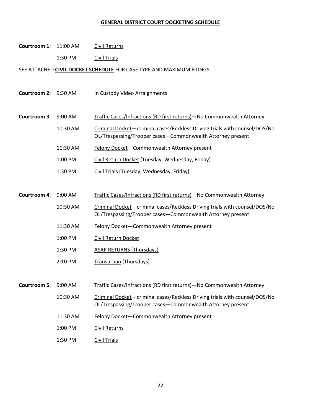# **GENERAL DISTRICT COURT DOCKETING SCHEDULE**

| Courtroom 1: 11:00 AM |           | <b>Civil Returns</b>                                                                                                                     |
|-----------------------|-----------|------------------------------------------------------------------------------------------------------------------------------------------|
|                       | 1:30 PM   | Civil Trials                                                                                                                             |
|                       |           | SEE ATTACHED CIVIL DOCKET SCHEDULE FOR CASE TYPE AND MAXIMUM FILINGS                                                                     |
|                       |           |                                                                                                                                          |
| Courtroom 2: 9:30 AM  |           | In Custody Video Arraignments                                                                                                            |
|                       |           |                                                                                                                                          |
| Courtroom 3:          | 9:00 AM   | Traffic Cases/Infractions (RD first returns)-No Commonwealth Attorney                                                                    |
|                       | 10:30 AM  | Criminal Docket-criminal cases/Reckless Driving trials with counsel/DOS/No<br>OL/Trespassing/Trooper cases-Commonwealth Attorney present |
|                       | 11:30 AM  | Felony Docket-Commonwealth Attorney present                                                                                              |
|                       | 1:00 PM   | Civil Return Docket (Tuesday, Wednesday, Friday)                                                                                         |
|                       | 1:30 PM   | Civil Trials (Tuesday, Wednesday, Friday)                                                                                                |
|                       |           |                                                                                                                                          |
| <b>Courtroom 4:</b>   | 9:00 AM   | Traffic Cases/Infractions (RD first returns) - No Commonwealth Attorney                                                                  |
|                       | 10:30 AM  | Criminal Docket-criminal cases/Reckless Driving trials with counsel/DOS/No<br>OL/Trespassing/Trooper cases-Commonwealth Attorney present |
|                       | 11:30 AM  | Felony Docket-Commonwealth Attorney present                                                                                              |
|                       | 1:00 PM   | Civil Return Docket                                                                                                                      |
|                       | 1:30 PM   | <b>ASAP RETURNS (Thursdays)</b>                                                                                                          |
|                       | 2:10 PM   | Transurban (Thursdays)                                                                                                                   |
|                       |           |                                                                                                                                          |
| Courtroom 5:          | $9:00$ AM | Traffic Cases/Infractions (RD first returns)-No Commonwealth Attorney                                                                    |
|                       | 10:30 AM  | Criminal Docket-criminal cases/Reckless Driving trials with counsel/DOS/No<br>OL/Trespassing/Trooper cases-Commonwealth Attorney present |
|                       | 11:30 AM  | Felony Docket-Commonwealth Attorney present                                                                                              |
|                       | 1:00 PM   | <b>Civil Returns</b>                                                                                                                     |
|                       | 1:30 PM   | <b>Civil Trials</b>                                                                                                                      |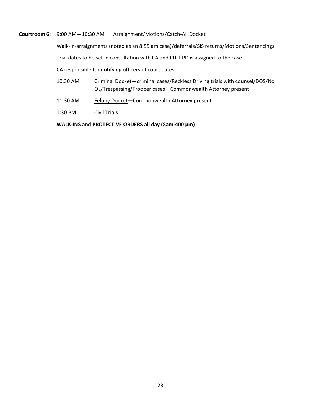**Courtroom 6**: 9:00 AM—10:30 AM Arraignment/Motions/Catch-All Docket

Walk-in-arraignments (noted as an 8:55 am case)/deferrals/SIS returns/Motions/Sentencings

Trial dates to be set in consultation with CA and PD if PD is assigned to the case

CA responsible for notifying officers of court dates

- 10:30 AM Criminal Docket—criminal cases/Reckless Driving trials with counsel/DOS/No OL/Trespassing/Trooper cases—Commonwealth Attorney present
- 11:30 AM Felony Docket-Commonwealth Attorney present
- 1:30 PM Civil Trials

**WALK-INS and PROTECTIVE ORDERS all day (8am-400 pm)**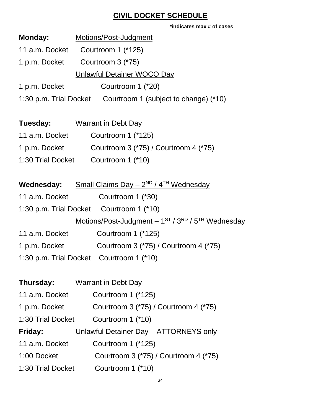# **CIVIL DOCKET SCHEDULE**

| *indicates max # of cases                                     |
|---------------------------------------------------------------|
| <b>Monday:</b> Motions/Post-Judgment                          |
| 11 a.m. Docket Courtroom 1 (*125)                             |
| 1 p.m. Docket Courtroom 3 (*75)                               |
| <b>Unlawful Detainer WOCO Day</b>                             |
| 1 p.m. Docket Courtroom 1 (*20)                               |
| 1:30 p.m. Trial Docket Courtroom 1 (subject to change) (*10)  |
|                                                               |
| <b>Tuesday:</b> Warrant in Debt Day                           |
| 11 a.m. Docket Courtroom 1 (*125)                             |
| 1 p.m. Docket Courtroom 3 (*75) / Courtroom 4 (*75)           |
| 1:30 Trial Docket Courtroom 1 (*10)                           |
|                                                               |
| <b>Wednesday:</b> Small Claims Day $-2^{ND}/4^{TH}$ Wednesday |
| 11 a.m. Docket Courtroom 1 (*30)                              |
| 1:30 p.m. Trial Docket Courtroom 1 (*10)                      |
| Motions/Post-Judgment - 1ST / 3RD / 5TH Wednesday             |
| 11 a.m. Docket Courtroom 1 (*125)                             |
| 1 p.m. Docket Courtroom 3 (*75) / Courtroom 4 (*75)           |
| 1:30 p.m. Trial Docket Courtroom 1 (*10)                      |
|                                                               |

| Thursday:         | <b>Warrant in Debt Day</b>             |
|-------------------|----------------------------------------|
| 11 a.m. Docket    | Courtroom 1 (*125)                     |
| 1 p.m. Docket     | Courtroom 3 (*75) / Courtroom 4 (*75)  |
| 1:30 Trial Docket | Courtroom 1 (*10)                      |
| Friday:           | Unlawful Detainer Day - ATTORNEYS only |
| 11 a.m. Docket    | Courtroom 1 (*125)                     |
| 1:00 Docket       | Courtroom 3 (*75) / Courtroom 4 (*75)  |
| 1:30 Trial Docket | Courtroom 1 (*10)                      |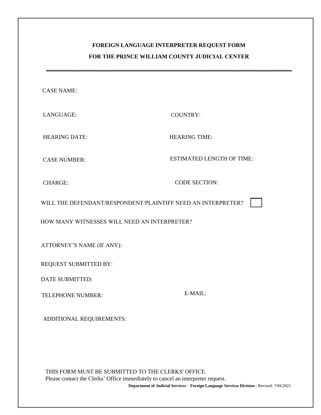# **FOREIGN LANGUAGE INTERPRETER REQUEST FORM FOR THE PRINCE WILLIAM COUNTY JUDICIAL CENTER**

**\_\_\_\_\_\_\_\_\_\_\_\_\_\_\_\_\_\_\_\_\_\_\_\_\_\_\_\_\_\_\_\_\_\_\_\_\_\_\_\_\_\_\_\_\_\_\_\_\_\_\_\_\_\_\_\_\_\_\_\_\_\_\_\_\_\_\_\_\_\_\_\_\_\_\_\_\_\_\_\_\_\_\_\_\_**

CASE NAME:

LANGUAGE: COUNTRY:

HEARING DATE: HEARING TIME:

CASE NUMBER:

ESTIMATED LENGTH OF TIME:

CHARGE:

CODE SECTION:

WILL THE DEFENDANT/RESPONDENT/PLAINTIFF NEED AN INTERPRETER?

HOW MANY WITNESSES WILL NEED AN INTERPRETER?

ATTORNEY'S NAME (IF ANY):

REQUEST SUBMITTED BY:

DATE SUBMITTED:

TELEPHONE NUMBER: E-MAIL:

ADDITIONAL REQUIREMENTS:

THIS FORM MUST BE SUBMITTED TO THE CLERKS' OFFICE. Please contact the Clerks' Office immediately to cancel an interpreter request. **Department of Judicial Services** – **Foreign Language Services Division** - Revised: 7/08/2021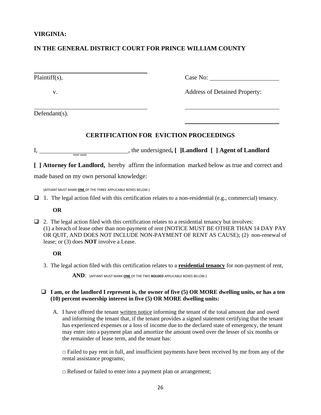#### **VIRGINIA:**

# **IN THE GENERAL DISTRICT COURT FOR PRINCE WILLIAM COUNTY**

| $Plaintiff(s)$ , | Case No:                             |
|------------------|--------------------------------------|
| V.               | <b>Address of Detained Property:</b> |

Defendant(s).

# **CERTIFICATION FOR EVICTION PROCEEDINGS**

 $I,$   $P$ I, the undersigned, [ ]Landlord [ ] Agent of Landlord

**[ ] Attorney for Landlord,** hereby affirm the information marked below as true and correct and made based on my own personal knowledge:

(AFFIANT MUST MARK **ONE** OF THE THREE APPLICABLE BOXES BELOW:)

 $\Box$  1. The legal action filed with this certification relates to a non-residential (e.g., commercial) tenancy.

#### **OR**

□ 2. The legal action filed with this certification relates to a residential tenancy but involves: (1) a breach of lease other than non-payment of rent (NOTICE MUST BE OTHER THAN 14 DAY PAY OR QUIT, AND DOES NOT INCLUDE NON-PAYMENT OF RENT AS CAUSE); (2) non-renewal of lease; or (3) does **NOT** involve a Lease.

#### **OR**

3. The legal action filed with this certification relates to a **residential tenancy** for non-payment of rent,

**AND**: (AFFIANT MUST MARK **ONE** OF THE TWO **BOLDED** APPLICABLE BOXES BELOW:)

#### ❑ **I am, or the landlord I represent is, the owner of five (5) OR MORE dwelling units, or has a ten (10) percent ownership interest in five (5) OR MORE dwelling units:**

A. I have offered the tenant written notice informing the tenant of the total amount due and owed and informing the tenant that, if the tenant provides a signed statement certifying that the tenant has experienced expenses or a loss of income due to the declared state of emergency, the tenant may enter into a payment plan and amortize the amount owed over the lesser of six months or the remainder of lease term, and the tenant has:

 $\Box$  Failed to pay rent in full, and insufficient payments have been received by me from any of the rental assistance programs;

□ Refused or failed to enter into a payment plan or arrangement;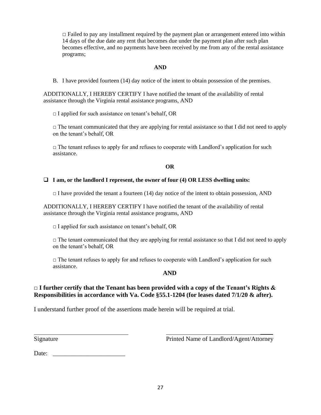$\Box$  Failed to pay any installment required by the payment plan or arrangement entered into within 14 days of the due date any rent that becomes due under the payment plan after such plan becomes effective, and no payments have been received by me from any of the rental assistance programs;

#### **AND**

B. I have provided fourteen (14) day notice of the intent to obtain possession of the premises.

ADDITIONALLY, I HEREBY CERTIFY I have notified the tenant of the availability of rental assistance through the Virginia rental assistance programs, AND

 $\Box$  I applied for such assistance on tenant's behalf, OR

 $\Box$  The tenant communicated that they are applying for rental assistance so that I did not need to apply on the tenant's behalf, OR

□ The tenant refuses to apply for and refuses to cooperate with Landlord's application for such assistance.

#### **OR**

#### ❑ **I am, or the landlord I represent, the owner of four (4) OR LESS dwelling units:**

 $\Box$  I have provided the tenant a fourteen (14) day notice of the intent to obtain possession, AND

ADDITIONALLY, I HEREBY CERTIFY I have notified the tenant of the availability of rental assistance through the Virginia rental assistance programs, AND

 $\Box$  I applied for such assistance on tenant's behalf, OR

 $\Box$  The tenant communicated that they are applying for rental assistance so that I did not need to apply on the tenant's behalf, OR

 $\Box$  The tenant refuses to apply for and refuses to cooperate with Landlord's application for such assistance.

#### **AND**

# **□ I further certify that the Tenant has been provided with a copy of the Tenant's Rights & Responsibilities in accordance with Va. Code §55.1-1204 (for leases dated 7/1/20 & after).**

I understand further proof of the assertions made herein will be required at trial.

Signature **Printed Name of Landlord/Agent/Attorney** 

 $\overline{\phantom{a}}$ 

Date: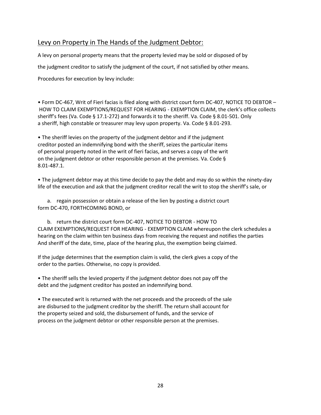# Levy on Property in The Hands of the Judgment Debtor:

A levy on personal property means that the property levied may be sold or disposed of by the judgment creditor to satisfy the judgment of the court, if not satisfied by other means. Procedures for execution by levy include:

• Form DC-467, Writ of Fieri facias is filed along with district court form DC-407, NOTICE TO DEBTOR – HOW TO CLAIM EXEMPTIONS/REQUEST FOR HEARING - EXEMPTION CLAIM, the clerk's office collects sheriff's fees (Va. Code § 17.1-272) and forwards it to the sheriff. Va. Code § 8.01-501. Only a sheriff, high constable or treasurer may levy upon property. Va. Code § 8.01-293.

• The sheriff levies on the property of the judgment debtor and if the judgment creditor posted an indemnifying bond with the sheriff, seizes the particular items of personal property noted in the writ of fieri facias, and serves a copy of the writ on the judgment debtor or other responsible person at the premises. Va. Code § 8.01-487.1.

• The judgment debtor may at this time decide to pay the debt and may do so within the ninety-day life of the execution and ask that the judgment creditor recall the writ to stop the sheriff's sale, or

a. regain possession or obtain a release of the lien by posting a district court form DC-470, FORTHCOMING BOND, or

b. return the district court form DC-407, NOTICE TO DEBTOR - HOW TO CLAIM EXEMPTIONS/REQUEST FOR HEARING - EXEMPTION CLAIM whereupon the clerk schedules a hearing on the claim within ten business days from receiving the request and notifies the parties And sheriff of the date, time, place of the hearing plus, the exemption being claimed.

If the judge determines that the exemption claim is valid, the clerk gives a copy of the order to the parties. Otherwise, no copy is provided.

• The sheriff sells the levied property if the judgment debtor does not pay off the debt and the judgment creditor has posted an indemnifying bond.

• The executed writ is returned with the net proceeds and the proceeds of the sale are disbursed to the judgment creditor by the sheriff. The return shall account for the property seized and sold, the disbursement of funds, and the service of process on the judgment debtor or other responsible person at the premises.